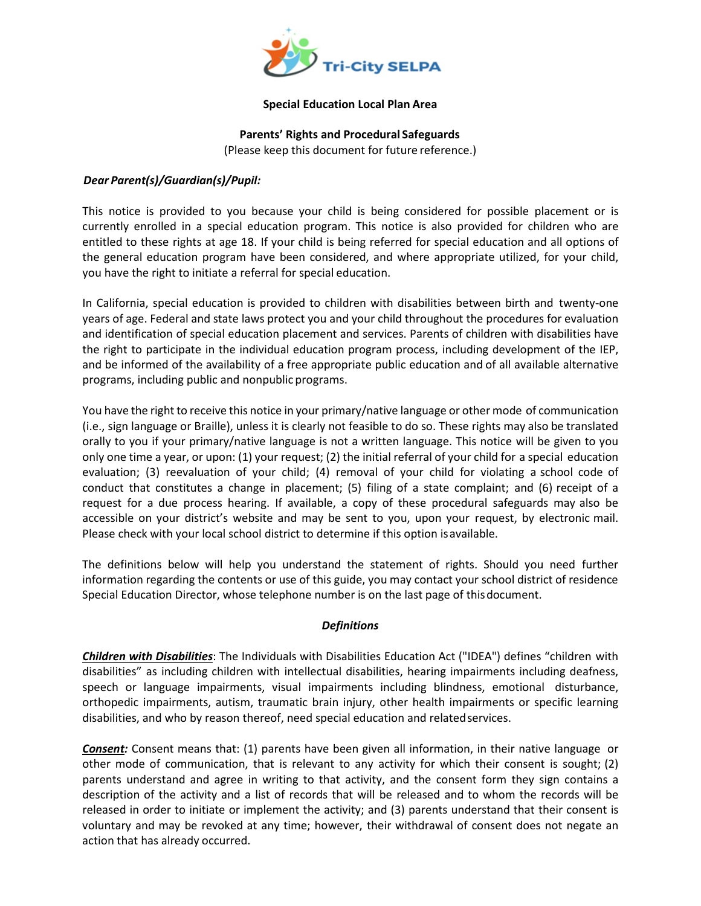

#### **Special Education Local Plan Area**

**Parents' Rights and Procedural Safeguards**

(Please keep this document for future reference.)

### *Dear Parent(s)/Guardian(s)/Pupil:*

This notice is provided to you because your child is being considered for possible placement or is currently enrolled in a special education program. This notice is also provided for children who are entitled to these rights at age 18. If your child is being referred for special education and all options of the general education program have been considered, and where appropriate utilized, for your child, you have the right to initiate a referral for special education.

In California, special education is provided to children with disabilities between birth and twenty-one years of age. Federal and state laws protect you and your child throughout the procedures for evaluation and identification of special education placement and services. Parents of children with disabilities have the right to participate in the individual education program process, including development of the IEP, and be informed of the availability of a free appropriate public education and of all available alternative programs, including public and nonpublic programs.

You have the right to receive this notice in your primary/native language or other mode of communication (i.e., sign language or Braille), unless it is clearly not feasible to do so. These rights may also be translated orally to you if your primary/native language is not a written language. This notice will be given to you only one time a year, or upon: (1) your request; (2) the initial referral of your child for a special education evaluation; (3) reevaluation of your child; (4) removal of your child for violating a school code of conduct that constitutes a change in placement; (5) filing of a state complaint; and (6) receipt of a request for a due process hearing. If available, a copy of these procedural safeguards may also be accessible on your district's website and may be sent to you, upon your request, by electronic mail. Please check with your local school district to determine if this option is available.

The definitions below will help you understand the statement of rights. Should you need further information regarding the contents or use of this guide, you may contact your school district of residence Special Education Director, whose telephone number is on the last page of thisdocument.

### *Definitions*

*Children with Disabilities*: The Individuals with Disabilities Education Act ("IDEA") defines "children with disabilities" as including children with intellectual disabilities, hearing impairments including deafness, speech or language impairments, visual impairments including blindness, emotional disturbance, orthopedic impairments, autism, traumatic brain injury, other health impairments or specific learning disabilities, and who by reason thereof, need special education and related services.

*Consent:* Consent means that: (1) parents have been given all information, in their native language or other mode of communication, that is relevant to any activity for which their consent is sought; (2) parents understand and agree in writing to that activity, and the consent form they sign contains a description of the activity and a list of records that will be released and to whom the records will be released in order to initiate or implement the activity; and (3) parents understand that their consent is voluntary and may be revoked at any time; however, their withdrawal of consent does not negate an action that has already occurred.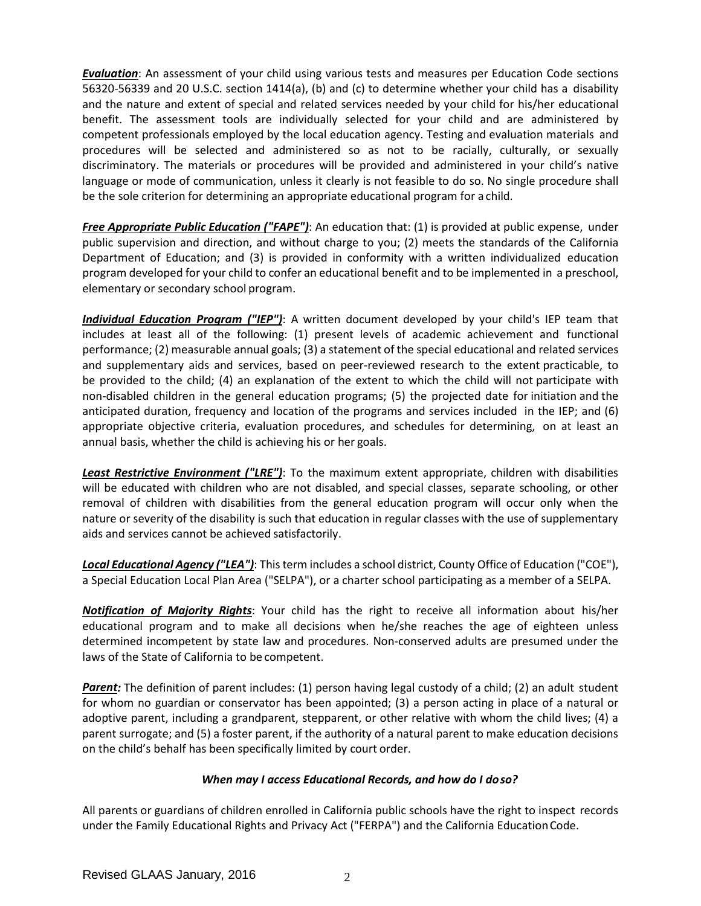*Evaluation*: An assessment of your child using various tests and measures per Education Code sections 56320-56339 and 20 U.S.C. section 1414(a), (b) and (c) to determine whether your child has a disability and the nature and extent of special and related services needed by your child for his/her educational benefit. The assessment tools are individually selected for your child and are administered by competent professionals employed by the local education agency. Testing and evaluation materials and procedures will be selected and administered so as not to be racially, culturally, or sexually discriminatory. The materials or procedures will be provided and administered in your child's native language or mode of communication, unless it clearly is not feasible to do so. No single procedure shall be the sole criterion for determining an appropriate educational program for a child.

*Free Appropriate Public Education ("FAPE")*: An education that: (1) is provided at public expense, under public supervision and direction, and without charge to you; (2) meets the standards of the California Department of Education; and (3) is provided in conformity with a written individualized education program developed for your child to confer an educational benefit and to be implemented in a preschool, elementary or secondary school program.

*Individual Education Program ("IEP")*: A written document developed by your child's IEP team that includes at least all of the following: (1) present levels of academic achievement and functional performance; (2) measurable annual goals; (3) a statement of the special educational and related services and supplementary aids and services, based on peer-reviewed research to the extent practicable, to be provided to the child; (4) an explanation of the extent to which the child will not participate with non-disabled children in the general education programs; (5) the projected date for initiation and the anticipated duration, frequency and location of the programs and services included in the IEP; and (6) appropriate objective criteria, evaluation procedures, and schedules for determining, on at least an annual basis, whether the child is achieving his or her goals.

*Least Restrictive Environment ("LRE")*: To the maximum extent appropriate, children with disabilities will be educated with children who are not disabled, and special classes, separate schooling, or other removal of children with disabilities from the general education program will occur only when the nature or severity of the disability is such that education in regular classes with the use of supplementary aids and services cannot be achieved satisfactorily.

*Local Educational Agency ("LEA")*: This term includes a school district, County Office of Education ("COE"), a Special Education Local Plan Area ("SELPA"), or a charter school participating as a member of a SELPA.

*Notification of Majority Rights*: Your child has the right to receive all information about his/her educational program and to make all decisions when he/she reaches the age of eighteen unless determined incompetent by state law and procedures. Non-conserved adults are presumed under the laws of the State of California to be competent.

**Parent:** The definition of parent includes: (1) person having legal custody of a child; (2) an adult student for whom no guardian or conservator has been appointed; (3) a person acting in place of a natural or adoptive parent, including a grandparent, stepparent, or other relative with whom the child lives; (4) a parent surrogate; and (5) a foster parent, if the authority of a natural parent to make education decisions on the child's behalf has been specifically limited by court order.

### *When may I access Educational Records, and how do I doso?*

All parents or guardians of children enrolled in California public schools have the right to inspect records under the Family Educational Rights and Privacy Act ("FERPA") and the California EducationCode.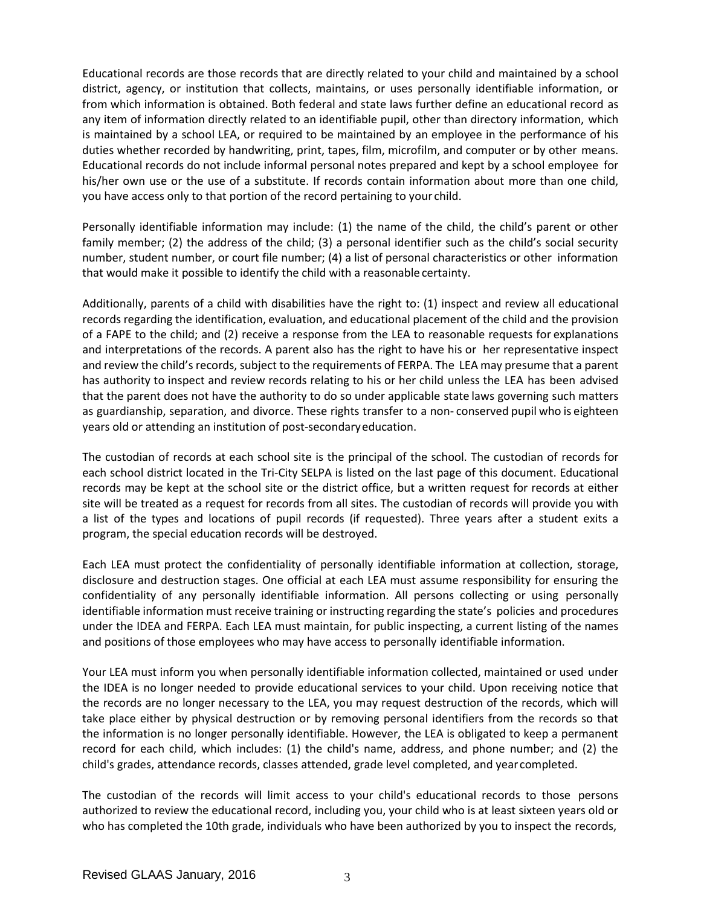Educational records are those records that are directly related to your child and maintained by a school district, agency, or institution that collects, maintains, or uses personally identifiable information, or from which information is obtained. Both federal and state laws further define an educational record as any item of information directly related to an identifiable pupil, other than directory information, which is maintained by a school LEA, or required to be maintained by an employee in the performance of his duties whether recorded by handwriting, print, tapes, film, microfilm, and computer or by other means. Educational records do not include informal personal notes prepared and kept by a school employee for his/her own use or the use of a substitute. If records contain information about more than one child, you have access only to that portion of the record pertaining to your child.

Personally identifiable information may include: (1) the name of the child, the child's parent or other family member; (2) the address of the child; (3) a personal identifier such as the child's social security number, student number, or court file number; (4) a list of personal characteristics or other information that would make it possible to identify the child with a reasonable certainty.

Additionally, parents of a child with disabilities have the right to: (1) inspect and review all educational records regarding the identification, evaluation, and educational placement of the child and the provision of a FAPE to the child; and (2) receive a response from the LEA to reasonable requests for explanations and interpretations of the records. A parent also has the right to have his or her representative inspect and review the child's records, subject to the requirements of FERPA. The LEA may presume that a parent has authority to inspect and review records relating to his or her child unless the LEA has been advised that the parent does not have the authority to do so under applicable state laws governing such matters as guardianship, separation, and divorce. These rights transfer to a non- conserved pupil who is eighteen years old or attending an institution of post-secondaryeducation.

The custodian of records at each school site is the principal of the school. The custodian of records for each school district located in the Tri-City SELPA is listed on the last page of this document. Educational records may be kept at the school site or the district office, but a written request for records at either site will be treated as a request for records from all sites. The custodian of records will provide you with a list of the types and locations of pupil records (if requested). Three years after a student exits a program, the special education records will be destroyed.

Each LEA must protect the confidentiality of personally identifiable information at collection, storage, disclosure and destruction stages. One official at each LEA must assume responsibility for ensuring the confidentiality of any personally identifiable information. All persons collecting or using personally identifiable information must receive training or instructing regarding the state's policies and procedures under the IDEA and FERPA. Each LEA must maintain, for public inspecting, a current listing of the names and positions of those employees who may have access to personally identifiable information.

Your LEA must inform you when personally identifiable information collected, maintained or used under the IDEA is no longer needed to provide educational services to your child. Upon receiving notice that the records are no longer necessary to the LEA, you may request destruction of the records, which will take place either by physical destruction or by removing personal identifiers from the records so that the information is no longer personally identifiable. However, the LEA is obligated to keep a permanent record for each child, which includes: (1) the child's name, address, and phone number; and (2) the child's grades, attendance records, classes attended, grade level completed, and year completed.

The custodian of the records will limit access to your child's educational records to those persons authorized to review the educational record, including you, your child who is at least sixteen years old or who has completed the 10th grade, individuals who have been authorized by you to inspect the records,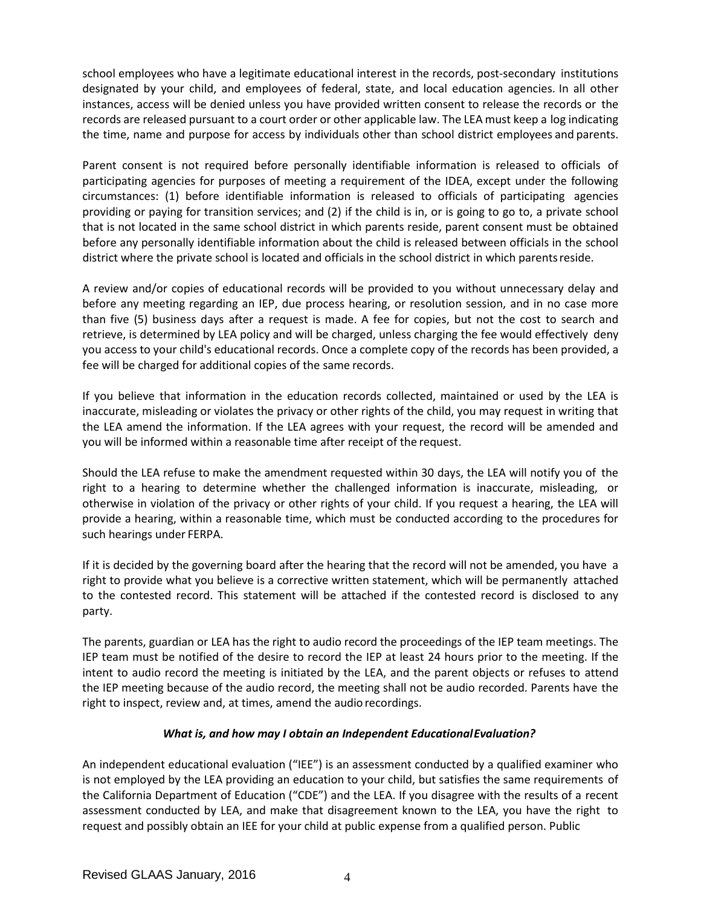school employees who have a legitimate educational interest in the records, post-secondary institutions designated by your child, and employees of federal, state, and local education agencies. In all other instances, access will be denied unless you have provided written consent to release the records or the records are released pursuant to a court order or other applicable law. The LEA must keep a log indicating the time, name and purpose for access by individuals other than school district employees and parents.

Parent consent is not required before personally identifiable information is released to officials of participating agencies for purposes of meeting a requirement of the IDEA, except under the following circumstances: (1) before identifiable information is released to officials of participating agencies providing or paying for transition services; and (2) if the child is in, or is going to go to, a private school that is not located in the same school district in which parents reside, parent consent must be obtained before any personally identifiable information about the child is released between officials in the school district where the private school is located and officials in the school district in which parentsreside.

A review and/or copies of educational records will be provided to you without unnecessary delay and before any meeting regarding an IEP, due process hearing, or resolution session, and in no case more than five (5) business days after a request is made. A fee for copies, but not the cost to search and retrieve, is determined by LEA policy and will be charged, unless charging the fee would effectively deny you access to your child's educational records. Once a complete copy of the records has been provided, a fee will be charged for additional copies of the same records.

If you believe that information in the education records collected, maintained or used by the LEA is inaccurate, misleading or violates the privacy or other rights of the child, you may request in writing that the LEA amend the information. If the LEA agrees with your request, the record will be amended and you will be informed within a reasonable time after receipt of the request.

Should the LEA refuse to make the amendment requested within 30 days, the LEA will notify you of the right to a hearing to determine whether the challenged information is inaccurate, misleading, or otherwise in violation of the privacy or other rights of your child. If you request a hearing, the LEA will provide a hearing, within a reasonable time, which must be conducted according to the procedures for such hearings under FERPA.

If it is decided by the governing board after the hearing that the record will not be amended, you have a right to provide what you believe is a corrective written statement, which will be permanently attached to the contested record. This statement will be attached if the contested record is disclosed to any party.

The parents, guardian or LEA has the right to audio record the proceedings of the IEP team meetings. The IEP team must be notified of the desire to record the IEP at least 24 hours prior to the meeting. If the intent to audio record the meeting is initiated by the LEA, and the parent objects or refuses to attend the IEP meeting because of the audio record, the meeting shall not be audio recorded. Parents have the right to inspect, review and, at times, amend the audio recordings.

# *What is, and how may I obtain an Independent EducationalEvaluation?*

An independent educational evaluation ("IEE") is an assessment conducted by a qualified examiner who is not employed by the LEA providing an education to your child, but satisfies the same requirements of the California Department of Education ("CDE") and the LEA. If you disagree with the results of a recent assessment conducted by LEA, and make that disagreement known to the LEA, you have the right to request and possibly obtain an IEE for your child at public expense from a qualified person. Public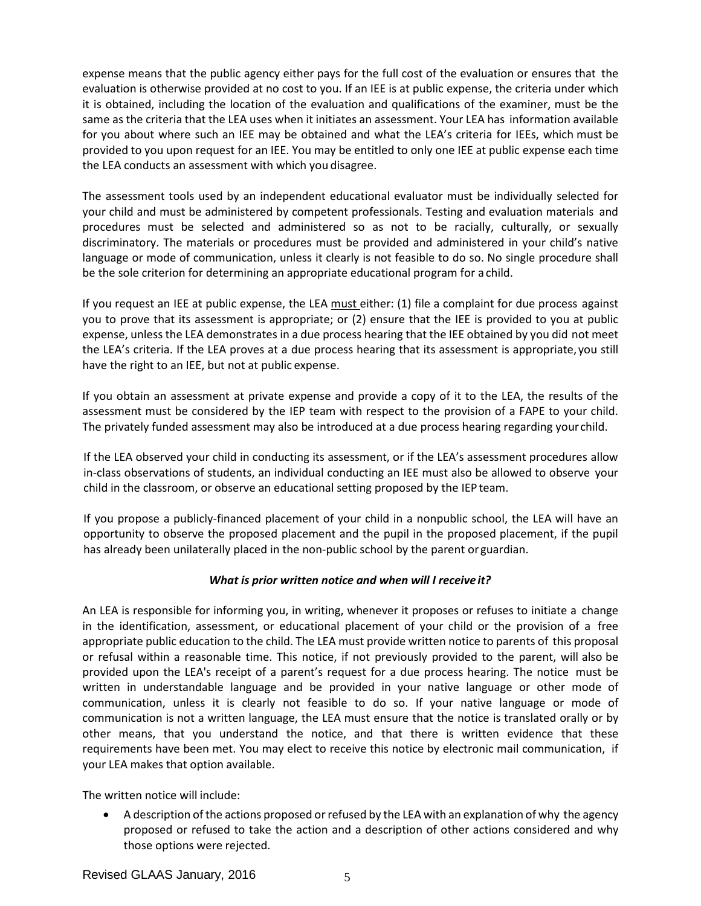expense means that the public agency either pays for the full cost of the evaluation or ensures that the evaluation is otherwise provided at no cost to you. If an IEE is at public expense, the criteria under which it is obtained, including the location of the evaluation and qualifications of the examiner, must be the same as the criteria that the LEA uses when it initiates an assessment. Your LEA has information available for you about where such an IEE may be obtained and what the LEA's criteria for IEEs, which must be provided to you upon request for an IEE. You may be entitled to only one IEE at public expense each time the LEA conducts an assessment with which you disagree.

The assessment tools used by an independent educational evaluator must be individually selected for your child and must be administered by competent professionals. Testing and evaluation materials and procedures must be selected and administered so as not to be racially, culturally, or sexually discriminatory. The materials or procedures must be provided and administered in your child's native language or mode of communication, unless it clearly is not feasible to do so. No single procedure shall be the sole criterion for determining an appropriate educational program for a child.

If you request an IEE at public expense, the LEA must either: (1) file a complaint for due process against you to prove that its assessment is appropriate; or (2) ensure that the IEE is provided to you at public expense, unless the LEA demonstrates in a due process hearing that the IEE obtained by you did not meet the LEA's criteria. If the LEA proves at a due process hearing that its assessment is appropriate, you still have the right to an IEE, but not at public expense.

If you obtain an assessment at private expense and provide a copy of it to the LEA, the results of the assessment must be considered by the IEP team with respect to the provision of a FAPE to your child. The privately funded assessment may also be introduced at a due process hearing regarding yourchild.

If the LEA observed your child in conducting its assessment, or if the LEA's assessment procedures allow in-class observations of students, an individual conducting an IEE must also be allowed to observe your child in the classroom, or observe an educational setting proposed by the IEP team.

If you propose a publicly-financed placement of your child in a nonpublic school, the LEA will have an opportunity to observe the proposed placement and the pupil in the proposed placement, if the pupil has already been unilaterally placed in the non-public school by the parent or guardian.

# *What is prior written notice and when will I receive it?*

An LEA is responsible for informing you, in writing, whenever it proposes or refuses to initiate a change in the identification, assessment, or educational placement of your child or the provision of a free appropriate public education to the child. The LEA must provide written notice to parents of this proposal or refusal within a reasonable time. This notice, if not previously provided to the parent, will also be provided upon the LEA's receipt of a parent's request for a due process hearing. The notice must be written in understandable language and be provided in your native language or other mode of communication, unless it is clearly not feasible to do so. If your native language or mode of communication is not a written language, the LEA must ensure that the notice is translated orally or by other means, that you understand the notice, and that there is written evidence that these requirements have been met. You may elect to receive this notice by electronic mail communication, if your LEA makes that option available.

The written notice will include:

• A description of the actions proposed or refused by the LEA with an explanation of why the agency proposed or refused to take the action and a description of other actions considered and why those options were rejected.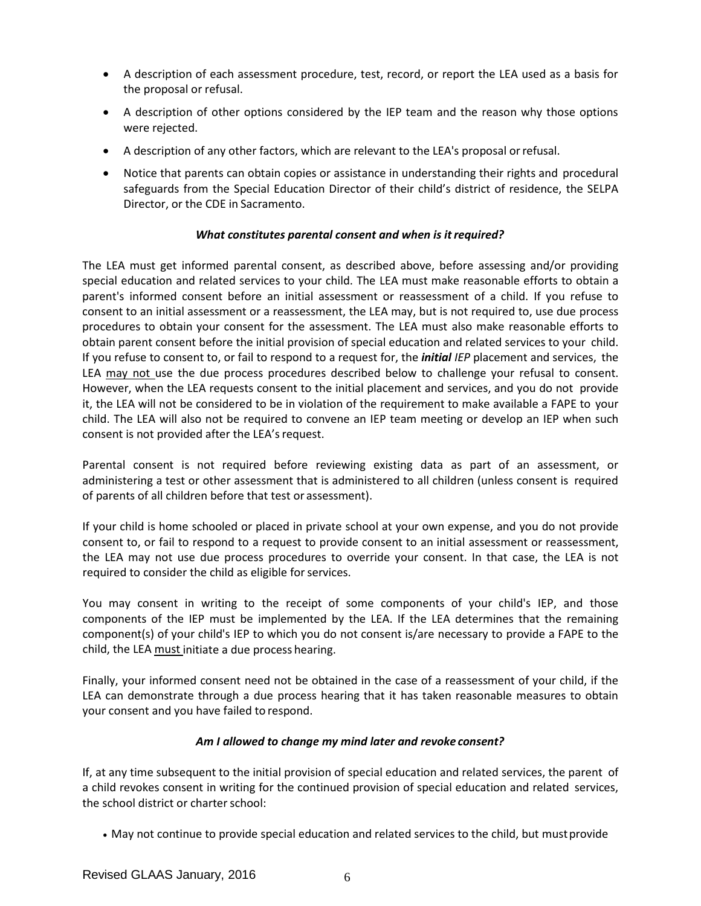- A description of each assessment procedure, test, record, or report the LEA used as a basis for the proposal or refusal.
- A description of other options considered by the IEP team and the reason why those options were rejected.
- A description of any other factors, which are relevant to the LEA's proposal orrefusal.
- Notice that parents can obtain copies or assistance in understanding their rights and procedural safeguards from the Special Education Director of their child's district of residence, the SELPA Director, or the CDE in Sacramento.

# *What constitutes parental consent and when is itrequired?*

The LEA must get informed parental consent, as described above, before assessing and/or providing special education and related services to your child. The LEA must make reasonable efforts to obtain a parent's informed consent before an initial assessment or reassessment of a child. If you refuse to consent to an initial assessment or a reassessment, the LEA may, but is not required to, use due process procedures to obtain your consent for the assessment. The LEA must also make reasonable efforts to obtain parent consent before the initial provision of special education and related services to your child. If you refuse to consent to, or fail to respond to a request for, the *initial IEP* placement and services, the LEA may not use the due process procedures described below to challenge your refusal to consent. However, when the LEA requests consent to the initial placement and services, and you do not provide it, the LEA will not be considered to be in violation of the requirement to make available a FAPE to your child. The LEA will also not be required to convene an IEP team meeting or develop an IEP when such consent is not provided after the LEA's request.

Parental consent is not required before reviewing existing data as part of an assessment, or administering a test or other assessment that is administered to all children (unless consent is required of parents of all children before that test or assessment).

If your child is home schooled or placed in private school at your own expense, and you do not provide consent to, or fail to respond to a request to provide consent to an initial assessment or reassessment, the LEA may not use due process procedures to override your consent. In that case, the LEA is not required to consider the child as eligible for services.

You may consent in writing to the receipt of some components of your child's IEP, and those components of the IEP must be implemented by the LEA. If the LEA determines that the remaining component(s) of your child's IEP to which you do not consent is/are necessary to provide a FAPE to the child, the LEA must initiate a due process hearing.

Finally, your informed consent need not be obtained in the case of a reassessment of your child, if the LEA can demonstrate through a due process hearing that it has taken reasonable measures to obtain your consent and you have failed to respond.

### *Am I allowed to change my mind later and revoke consent?*

If, at any time subsequent to the initial provision of special education and related services, the parent of a child revokes consent in writing for the continued provision of special education and related services, the school district or charter school:

• May not continue to provide special education and related services to the child, but mustprovide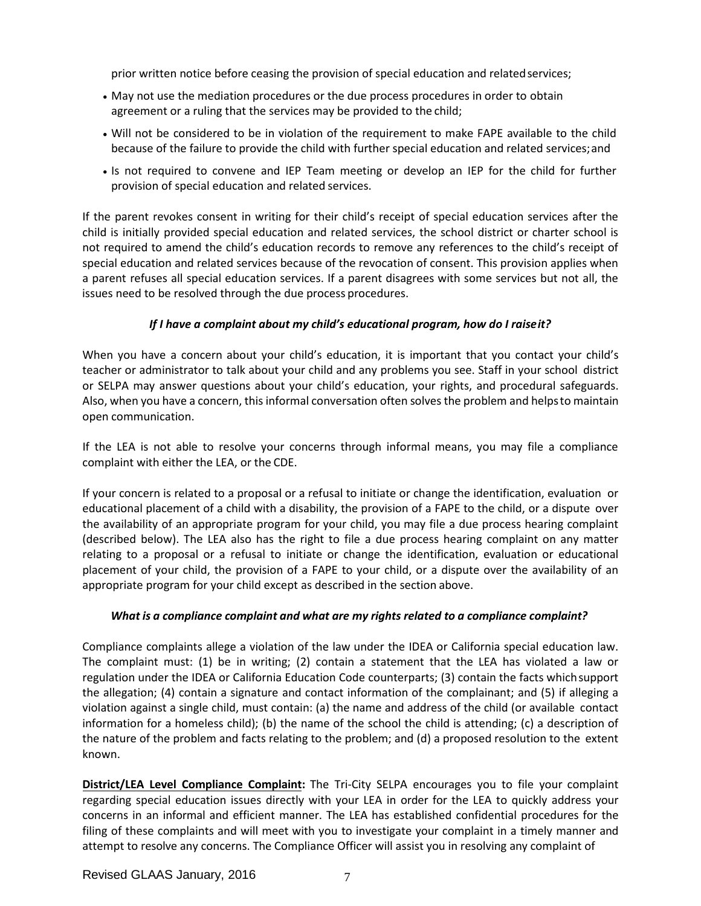prior written notice before ceasing the provision of special education and relatedservices;

- May not use the mediation procedures or the due process procedures in order to obtain agreement or a ruling that the services may be provided to the child;
- Will not be considered to be in violation of the requirement to make FAPE available to the child because of the failure to provide the child with further special education and related services; and
- Is not required to convene and IEP Team meeting or develop an IEP for the child for further provision of special education and related services.

If the parent revokes consent in writing for their child's receipt of special education services after the child is initially provided special education and related services, the school district or charter school is not required to amend the child's education records to remove any references to the child's receipt of special education and related services because of the revocation of consent. This provision applies when a parent refuses all special education services. If a parent disagrees with some services but not all, the issues need to be resolved through the due process procedures.

# *If I have a complaint about my child's educational program, how do I raiseit?*

When you have a concern about your child's education, it is important that you contact your child's teacher or administrator to talk about your child and any problems you see. Staff in your school district or SELPA may answer questions about your child's education, your rights, and procedural safeguards. Also, when you have a concern, this informal conversation often solves the problem and helpsto maintain open communication.

If the LEA is not able to resolve your concerns through informal means, you may file a compliance complaint with either the LEA, or the CDE.

If your concern is related to a proposal or a refusal to initiate or change the identification, evaluation or educational placement of a child with a disability, the provision of a FAPE to the child, or a dispute over the availability of an appropriate program for your child, you may file a due process hearing complaint (described below). The LEA also has the right to file a due process hearing complaint on any matter relating to a proposal or a refusal to initiate or change the identification, evaluation or educational placement of your child, the provision of a FAPE to your child, or a dispute over the availability of an appropriate program for your child except as described in the section above.

### *What is a compliance complaint and what are my rights related to a compliance complaint?*

Compliance complaints allege a violation of the law under the IDEA or California special education law. The complaint must: (1) be in writing; (2) contain a statement that the LEA has violated a law or regulation under the IDEA or California Education Code counterparts; (3) contain the facts whichsupport the allegation; (4) contain a signature and contact information of the complainant; and (5) if alleging a violation against a single child, must contain: (a) the name and address of the child (or available contact information for a homeless child); (b) the name of the school the child is attending; (c) a description of the nature of the problem and facts relating to the problem; and (d) a proposed resolution to the extent known.

**District/LEA Level Compliance Complaint:** The Tri-City SELPA encourages you to file your complaint regarding special education issues directly with your LEA in order for the LEA to quickly address your concerns in an informal and efficient manner. The LEA has established confidential procedures for the filing of these complaints and will meet with you to investigate your complaint in a timely manner and attempt to resolve any concerns. The Compliance Officer will assist you in resolving any complaint of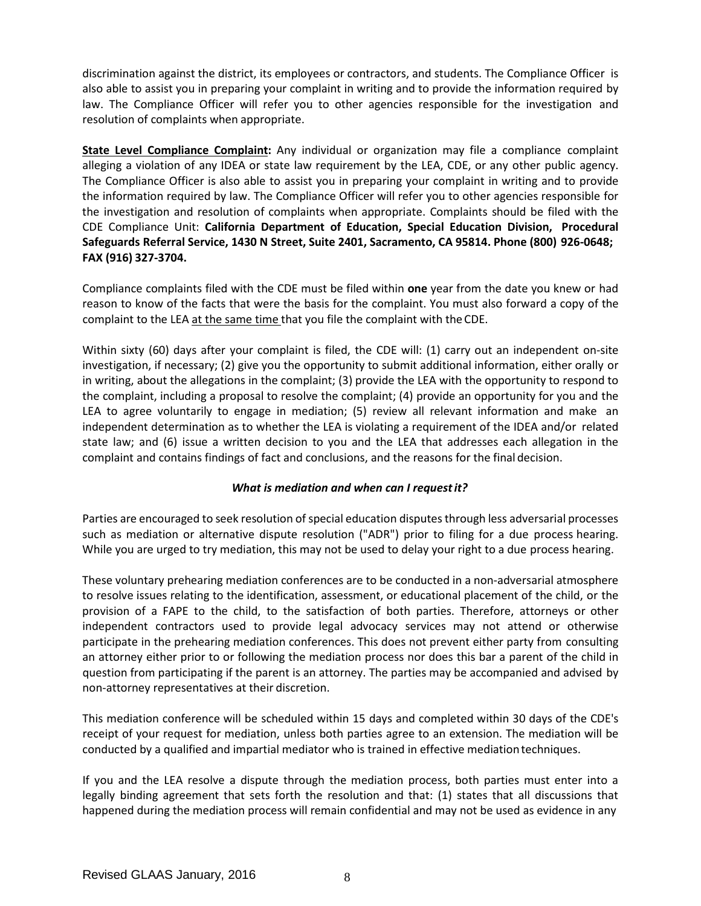discrimination against the district, its employees or contractors, and students. The Compliance Officer is also able to assist you in preparing your complaint in writing and to provide the information required by law. The Compliance Officer will refer you to other agencies responsible for the investigation and resolution of complaints when appropriate.

**State Level Compliance Complaint:** Any individual or organization may file a compliance complaint alleging a violation of any IDEA or state law requirement by the LEA, CDE, or any other public agency. The Compliance Officer is also able to assist you in preparing your complaint in writing and to provide the information required by law. The Compliance Officer will refer you to other agencies responsible for the investigation and resolution of complaints when appropriate. Complaints should be filed with the CDE Compliance Unit: **California Department of Education, Special Education Division, Procedural Safeguards Referral Service, 1430 N Street, Suite 2401, Sacramento, CA 95814. Phone (800) 926-0648; FAX (916) 327-3704.**

Compliance complaints filed with the CDE must be filed within **one** year from the date you knew or had reason to know of the facts that were the basis for the complaint. You must also forward a copy of the complaint to the LEA at the same time that you file the complaint with the CDE.

Within sixty (60) days after your complaint is filed, the CDE will: (1) carry out an independent on-site investigation, if necessary; (2) give you the opportunity to submit additional information, either orally or in writing, about the allegations in the complaint; (3) provide the LEA with the opportunity to respond to the complaint, including a proposal to resolve the complaint; (4) provide an opportunity for you and the LEA to agree voluntarily to engage in mediation; (5) review all relevant information and make an independent determination as to whether the LEA is violating a requirement of the IDEA and/or related state law; and (6) issue a written decision to you and the LEA that addresses each allegation in the complaint and contains findings of fact and conclusions, and the reasons for the final decision.

# *What is mediation and when can I requestit?*

Parties are encouraged to seek resolution of special education disputes through less adversarial processes such as mediation or alternative dispute resolution ("ADR") prior to filing for a due process hearing. While you are urged to try mediation, this may not be used to delay your right to a due process hearing.

These voluntary prehearing mediation conferences are to be conducted in a non-adversarial atmosphere to resolve issues relating to the identification, assessment, or educational placement of the child, or the provision of a FAPE to the child, to the satisfaction of both parties. Therefore, attorneys or other independent contractors used to provide legal advocacy services may not attend or otherwise participate in the prehearing mediation conferences. This does not prevent either party from consulting an attorney either prior to or following the mediation process nor does this bar a parent of the child in question from participating if the parent is an attorney. The parties may be accompanied and advised by non-attorney representatives at their discretion.

This mediation conference will be scheduled within 15 days and completed within 30 days of the CDE's receipt of your request for mediation, unless both parties agree to an extension. The mediation will be conducted by a qualified and impartial mediator who is trained in effective mediationtechniques.

If you and the LEA resolve a dispute through the mediation process, both parties must enter into a legally binding agreement that sets forth the resolution and that: (1) states that all discussions that happened during the mediation process will remain confidential and may not be used as evidence in any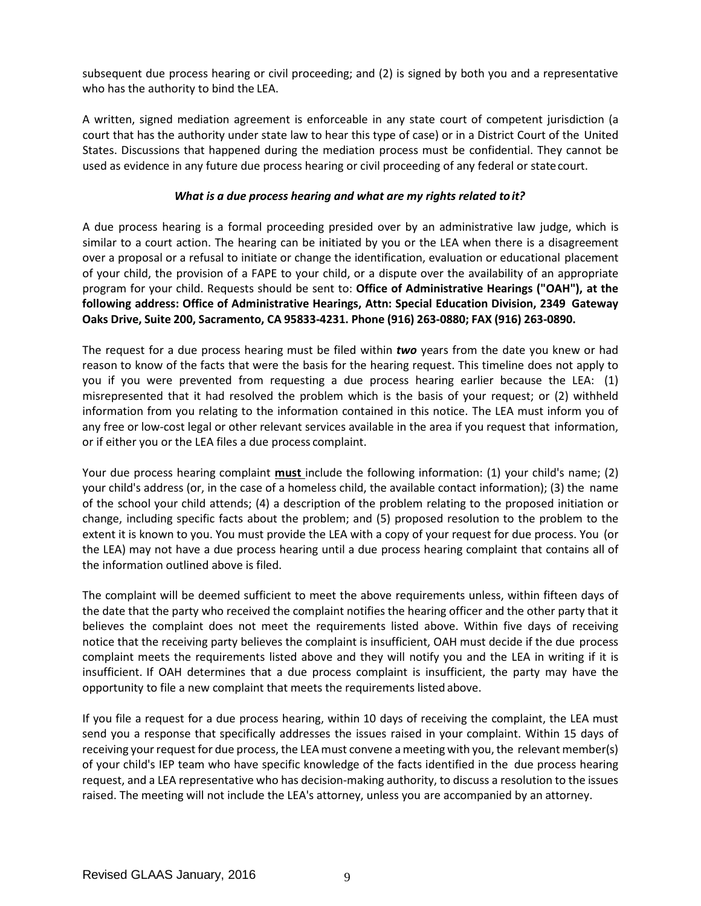subsequent due process hearing or civil proceeding; and (2) is signed by both you and a representative who has the authority to bind the LEA.

A written, signed mediation agreement is enforceable in any state court of competent jurisdiction (a court that has the authority under state law to hear this type of case) or in a District Court of the United States. Discussions that happened during the mediation process must be confidential. They cannot be used as evidence in any future due process hearing or civil proceeding of any federal or statecourt.

# *What is a due process hearing and what are my rights related to it?*

A due process hearing is a formal proceeding presided over by an administrative law judge, which is similar to a court action. The hearing can be initiated by you or the LEA when there is a disagreement over a proposal or a refusal to initiate or change the identification, evaluation or educational placement of your child, the provision of a FAPE to your child, or a dispute over the availability of an appropriate program for your child. Requests should be sent to: **Office of Administrative Hearings ("OAH"), at the following address: Office of Administrative Hearings, Attn: Special Education Division, 2349 Gateway Oaks Drive, Suite 200, Sacramento, CA 95833-4231. Phone (916) 263-0880; FAX (916) 263-0890.**

The request for a due process hearing must be filed within *two* years from the date you knew or had reason to know of the facts that were the basis for the hearing request. This timeline does not apply to you if you were prevented from requesting a due process hearing earlier because the LEA: (1) misrepresented that it had resolved the problem which is the basis of your request; or (2) withheld information from you relating to the information contained in this notice. The LEA must inform you of any free or low-cost legal or other relevant services available in the area if you request that information, or if either you or the LEA files a due process complaint.

Your due process hearing complaint **must** include the following information: (1) your child's name; (2) your child's address (or, in the case of a homeless child, the available contact information); (3) the name of the school your child attends; (4) a description of the problem relating to the proposed initiation or change, including specific facts about the problem; and (5) proposed resolution to the problem to the extent it is known to you. You must provide the LEA with a copy of your request for due process. You (or the LEA) may not have a due process hearing until a due process hearing complaint that contains all of the information outlined above is filed.

The complaint will be deemed sufficient to meet the above requirements unless, within fifteen days of the date that the party who received the complaint notifies the hearing officer and the other party that it believes the complaint does not meet the requirements listed above. Within five days of receiving notice that the receiving party believes the complaint is insufficient, OAH must decide if the due process complaint meets the requirements listed above and they will notify you and the LEA in writing if it is insufficient. If OAH determines that a due process complaint is insufficient, the party may have the opportunity to file a new complaint that meets the requirements listed above.

If you file a request for a due process hearing, within 10 days of receiving the complaint, the LEA must send you a response that specifically addresses the issues raised in your complaint. Within 15 days of receiving your request for due process, the LEA must convene a meeting with you, the relevant member(s) of your child's IEP team who have specific knowledge of the facts identified in the due process hearing request, and a LEA representative who has decision-making authority, to discuss a resolution to the issues raised. The meeting will not include the LEA's attorney, unless you are accompanied by an attorney.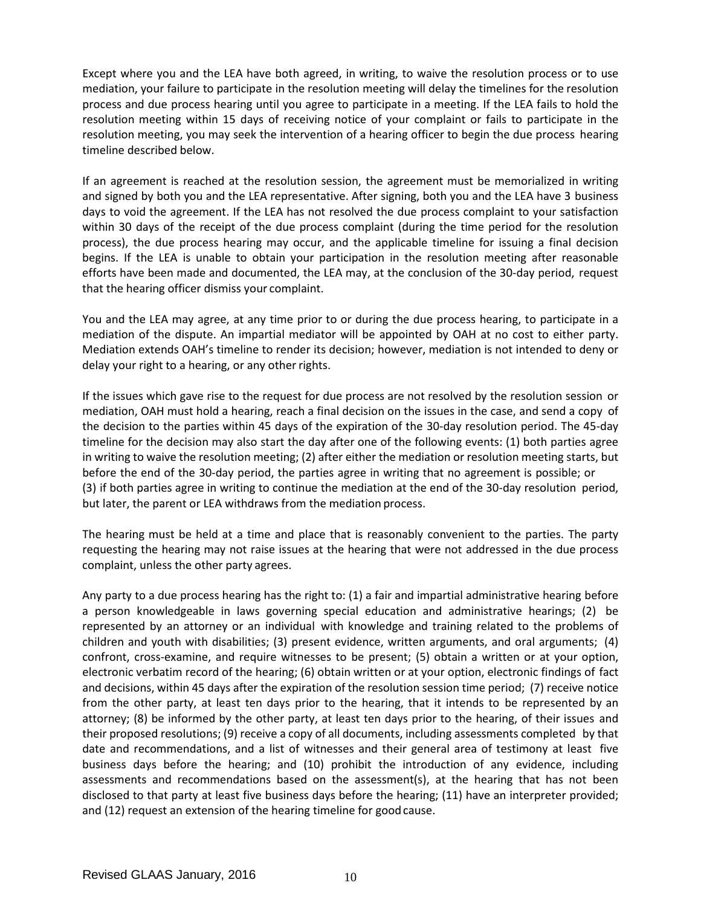Except where you and the LEA have both agreed, in writing, to waive the resolution process or to use mediation, your failure to participate in the resolution meeting will delay the timelines for the resolution process and due process hearing until you agree to participate in a meeting. If the LEA fails to hold the resolution meeting within 15 days of receiving notice of your complaint or fails to participate in the resolution meeting, you may seek the intervention of a hearing officer to begin the due process hearing timeline described below.

If an agreement is reached at the resolution session, the agreement must be memorialized in writing and signed by both you and the LEA representative. After signing, both you and the LEA have 3 business days to void the agreement. If the LEA has not resolved the due process complaint to your satisfaction within 30 days of the receipt of the due process complaint (during the time period for the resolution process), the due process hearing may occur, and the applicable timeline for issuing a final decision begins. If the LEA is unable to obtain your participation in the resolution meeting after reasonable efforts have been made and documented, the LEA may, at the conclusion of the 30-day period, request that the hearing officer dismiss your complaint.

You and the LEA may agree, at any time prior to or during the due process hearing, to participate in a mediation of the dispute. An impartial mediator will be appointed by OAH at no cost to either party. Mediation extends OAH's timeline to render its decision; however, mediation is not intended to deny or delay your right to a hearing, or any other rights.

If the issues which gave rise to the request for due process are not resolved by the resolution session or mediation, OAH must hold a hearing, reach a final decision on the issues in the case, and send a copy of the decision to the parties within 45 days of the expiration of the 30-day resolution period. The 45-day timeline for the decision may also start the day after one of the following events: (1) both parties agree in writing to waive the resolution meeting; (2) after either the mediation or resolution meeting starts, but before the end of the 30-day period, the parties agree in writing that no agreement is possible; or (3) if both parties agree in writing to continue the mediation at the end of the 30-day resolution period, but later, the parent or LEA withdraws from the mediation process.

The hearing must be held at a time and place that is reasonably convenient to the parties. The party requesting the hearing may not raise issues at the hearing that were not addressed in the due process complaint, unless the other party agrees.

Any party to a due process hearing has the right to: (1) a fair and impartial administrative hearing before a person knowledgeable in laws governing special education and administrative hearings; (2) be represented by an attorney or an individual with knowledge and training related to the problems of children and youth with disabilities; (3) present evidence, written arguments, and oral arguments; (4) confront, cross-examine, and require witnesses to be present; (5) obtain a written or at your option, electronic verbatim record of the hearing; (6) obtain written or at your option, electronic findings of fact and decisions, within 45 days after the expiration of the resolution session time period; (7) receive notice from the other party, at least ten days prior to the hearing, that it intends to be represented by an attorney; (8) be informed by the other party, at least ten days prior to the hearing, of their issues and their proposed resolutions; (9) receive a copy of all documents, including assessments completed by that date and recommendations, and a list of witnesses and their general area of testimony at least five business days before the hearing; and (10) prohibit the introduction of any evidence, including assessments and recommendations based on the assessment(s), at the hearing that has not been disclosed to that party at least five business days before the hearing; (11) have an interpreter provided; and (12) request an extension of the hearing timeline for goodcause.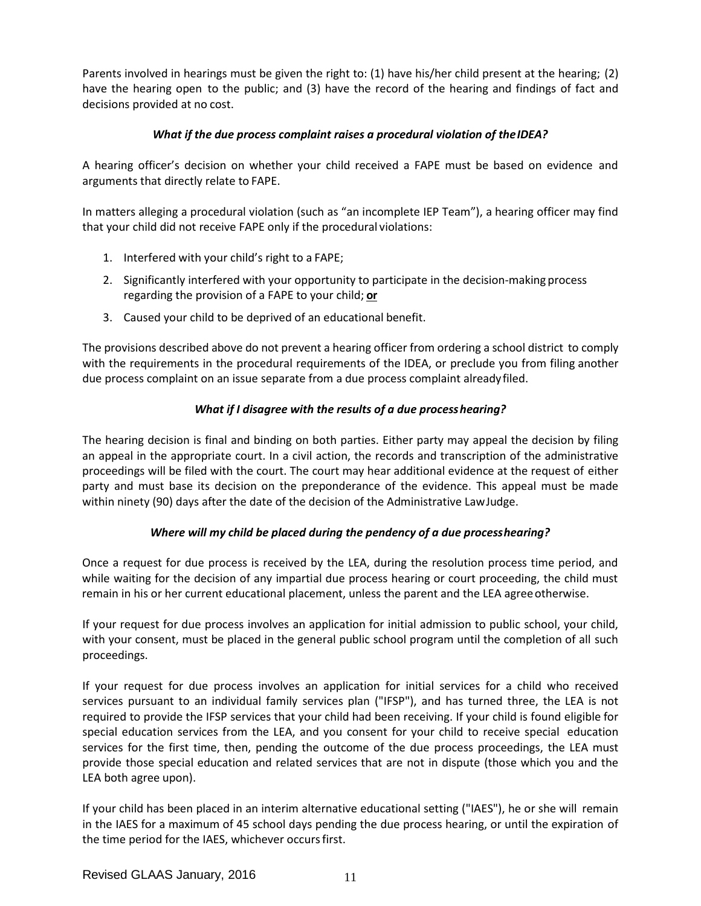Parents involved in hearings must be given the right to: (1) have his/her child present at the hearing; (2) have the hearing open to the public; and (3) have the record of the hearing and findings of fact and decisions provided at no cost.

# *What if the due process complaint raises a procedural violation of theIDEA?*

A hearing officer's decision on whether your child received a FAPE must be based on evidence and arguments that directly relate to FAPE.

In matters alleging a procedural violation (such as "an incomplete IEP Team"), a hearing officer may find that your child did not receive FAPE only if the procedural violations:

- 1. Interfered with your child's right to a FAPE;
- 2. Significantly interfered with your opportunity to participate in the decision-making process regarding the provision of a FAPE to your child; **or**
- 3. Caused your child to be deprived of an educational benefit.

The provisions described above do not prevent a hearing officer from ordering a school district to comply with the requirements in the procedural requirements of the IDEA, or preclude you from filing another due process complaint on an issue separate from a due process complaint alreadyfiled.

# *What if I disagree with the results of a due processhearing?*

The hearing decision is final and binding on both parties. Either party may appeal the decision by filing an appeal in the appropriate court. In a civil action, the records and transcription of the administrative proceedings will be filed with the court. The court may hear additional evidence at the request of either party and must base its decision on the preponderance of the evidence. This appeal must be made within ninety (90) days after the date of the decision of the Administrative LawJudge.

# *Where will my child be placed during the pendency of a due processhearing?*

Once a request for due process is received by the LEA, during the resolution process time period, and while waiting for the decision of any impartial due process hearing or court proceeding, the child must remain in his or her current educational placement, unless the parent and the LEA agree otherwise.

If your request for due process involves an application for initial admission to public school, your child, with your consent, must be placed in the general public school program until the completion of all such proceedings.

If your request for due process involves an application for initial services for a child who received services pursuant to an individual family services plan ("IFSP"), and has turned three, the LEA is not required to provide the IFSP services that your child had been receiving. If your child is found eligible for special education services from the LEA, and you consent for your child to receive special education services for the first time, then, pending the outcome of the due process proceedings, the LEA must provide those special education and related services that are not in dispute (those which you and the LEA both agree upon).

If your child has been placed in an interim alternative educational setting ("IAES"), he or she will remain in the IAES for a maximum of 45 school days pending the due process hearing, or until the expiration of the time period for the IAES, whichever occursfirst.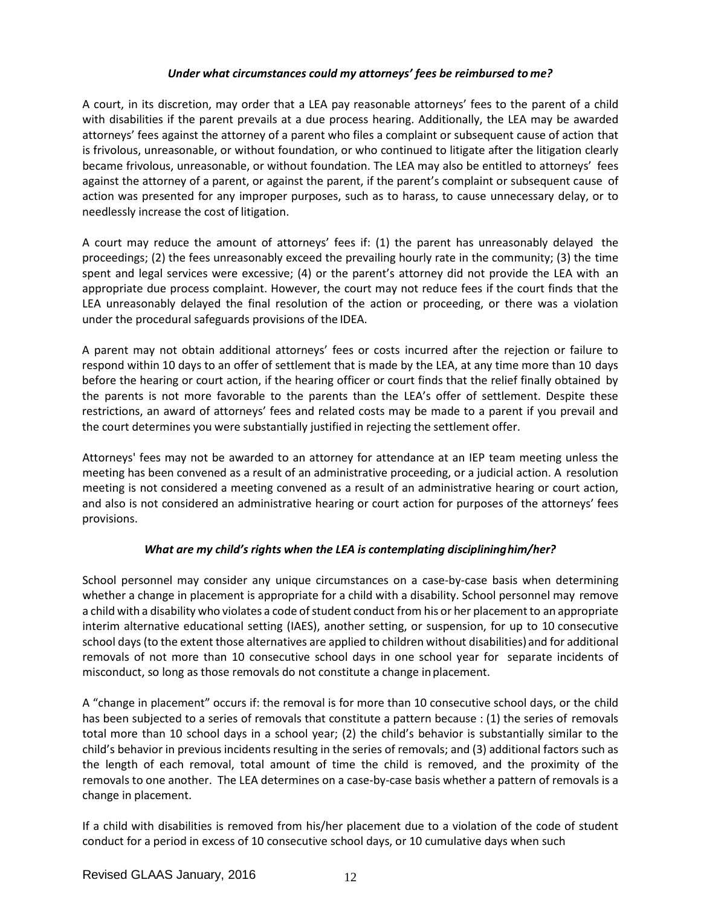# *Under what circumstances could my attorneys' fees be reimbursed to me?*

A court, in its discretion, may order that a LEA pay reasonable attorneys' fees to the parent of a child with disabilities if the parent prevails at a due process hearing. Additionally, the LEA may be awarded attorneys' fees against the attorney of a parent who files a complaint or subsequent cause of action that is frivolous, unreasonable, or without foundation, or who continued to litigate after the litigation clearly became frivolous, unreasonable, or without foundation. The LEA may also be entitled to attorneys' fees against the attorney of a parent, or against the parent, if the parent's complaint or subsequent cause of action was presented for any improper purposes, such as to harass, to cause unnecessary delay, or to needlessly increase the cost of litigation.

A court may reduce the amount of attorneys' fees if: (1) the parent has unreasonably delayed the proceedings; (2) the fees unreasonably exceed the prevailing hourly rate in the community; (3) the time spent and legal services were excessive; (4) or the parent's attorney did not provide the LEA with an appropriate due process complaint. However, the court may not reduce fees if the court finds that the LEA unreasonably delayed the final resolution of the action or proceeding, or there was a violation under the procedural safeguards provisions of the IDEA.

A parent may not obtain additional attorneys' fees or costs incurred after the rejection or failure to respond within 10 days to an offer of settlement that is made by the LEA, at any time more than 10 days before the hearing or court action, if the hearing officer or court finds that the relief finally obtained by the parents is not more favorable to the parents than the LEA's offer of settlement. Despite these restrictions, an award of attorneys' fees and related costs may be made to a parent if you prevail and the court determines you were substantially justified in rejecting the settlement offer.

Attorneys' fees may not be awarded to an attorney for attendance at an IEP team meeting unless the meeting has been convened as a result of an administrative proceeding, or a judicial action. A resolution meeting is not considered a meeting convened as a result of an administrative hearing or court action, and also is not considered an administrative hearing or court action for purposes of the attorneys' fees provisions.

# *What are my child's rights when the LEA is contemplating disciplininghim/her?*

School personnel may consider any unique circumstances on a case-by-case basis when determining whether a change in placement is appropriate for a child with a disability. School personnel may remove a child with a disability who violates a code of student conduct from his or her placement to an appropriate interim alternative educational setting (IAES), another setting, or suspension, for up to 10 consecutive school days (to the extent those alternatives are applied to children without disabilities) and for additional removals of not more than 10 consecutive school days in one school year for separate incidents of misconduct, so long as those removals do not constitute a change inplacement.

A "change in placement" occurs if: the removal is for more than 10 consecutive school days, or the child has been subjected to a series of removals that constitute a pattern because : (1) the series of removals total more than 10 school days in a school year; (2) the child's behavior is substantially similar to the child's behavior in previous incidents resulting in the series of removals; and (3) additional factors such as the length of each removal, total amount of time the child is removed, and the proximity of the removals to one another. The LEA determines on a case-by-case basis whether a pattern of removals is a change in placement.

If a child with disabilities is removed from his/her placement due to a violation of the code of student conduct for a period in excess of 10 consecutive school days, or 10 cumulative days when such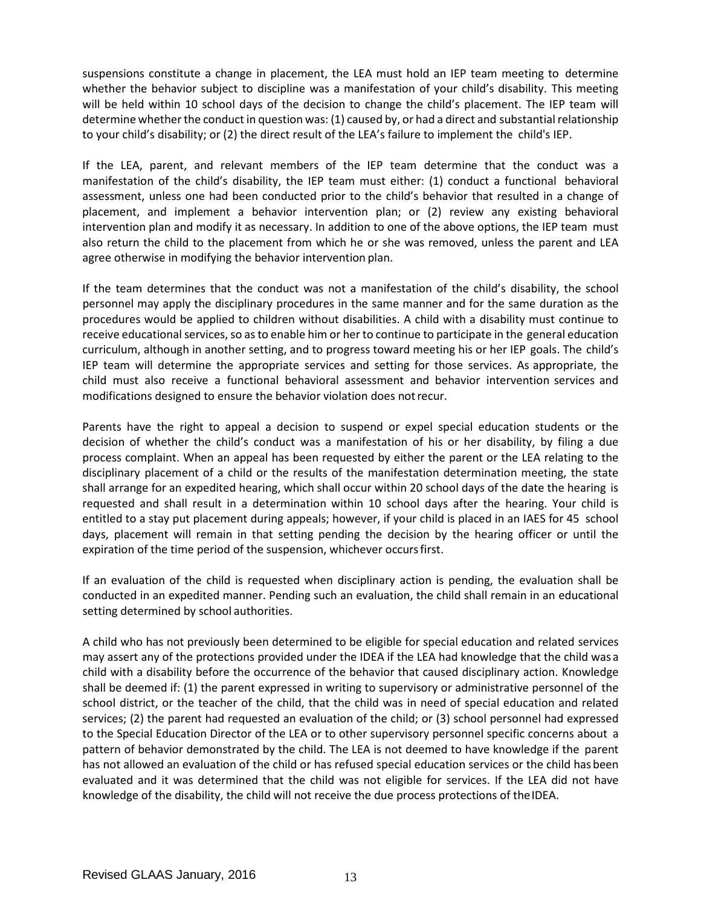suspensions constitute a change in placement, the LEA must hold an IEP team meeting to determine whether the behavior subject to discipline was a manifestation of your child's disability. This meeting will be held within 10 school days of the decision to change the child's placement. The IEP team will determine whether the conduct in question was: (1) caused by, or had a direct and substantial relationship to your child's disability; or (2) the direct result of the LEA's failure to implement the child's IEP.

If the LEA, parent, and relevant members of the IEP team determine that the conduct was a manifestation of the child's disability, the IEP team must either: (1) conduct a functional behavioral assessment, unless one had been conducted prior to the child's behavior that resulted in a change of placement, and implement a behavior intervention plan; or (2) review any existing behavioral intervention plan and modify it as necessary. In addition to one of the above options, the IEP team must also return the child to the placement from which he or she was removed, unless the parent and LEA agree otherwise in modifying the behavior intervention plan.

If the team determines that the conduct was not a manifestation of the child's disability, the school personnel may apply the disciplinary procedures in the same manner and for the same duration as the procedures would be applied to children without disabilities. A child with a disability must continue to receive educational services, so as to enable him or her to continue to participate in the general education curriculum, although in another setting, and to progress toward meeting his or her IEP goals. The child's IEP team will determine the appropriate services and setting for those services. As appropriate, the child must also receive a functional behavioral assessment and behavior intervention services and modifications designed to ensure the behavior violation does notrecur.

Parents have the right to appeal a decision to suspend or expel special education students or the decision of whether the child's conduct was a manifestation of his or her disability, by filing a due process complaint. When an appeal has been requested by either the parent or the LEA relating to the disciplinary placement of a child or the results of the manifestation determination meeting, the state shall arrange for an expedited hearing, which shall occur within 20 school days of the date the hearing is requested and shall result in a determination within 10 school days after the hearing. Your child is entitled to a stay put placement during appeals; however, if your child is placed in an IAES for 45 school days, placement will remain in that setting pending the decision by the hearing officer or until the expiration of the time period of the suspension, whichever occursfirst.

If an evaluation of the child is requested when disciplinary action is pending, the evaluation shall be conducted in an expedited manner. Pending such an evaluation, the child shall remain in an educational setting determined by school authorities.

A child who has not previously been determined to be eligible for special education and related services may assert any of the protections provided under the IDEA if the LEA had knowledge that the child was a child with a disability before the occurrence of the behavior that caused disciplinary action. Knowledge shall be deemed if: (1) the parent expressed in writing to supervisory or administrative personnel of the school district, or the teacher of the child, that the child was in need of special education and related services; (2) the parent had requested an evaluation of the child; or (3) school personnel had expressed to the Special Education Director of the LEA or to other supervisory personnel specific concerns about a pattern of behavior demonstrated by the child. The LEA is not deemed to have knowledge if the parent has not allowed an evaluation of the child or has refused special education services or the child has been evaluated and it was determined that the child was not eligible for services. If the LEA did not have knowledge of the disability, the child will not receive the due process protections of the IDEA.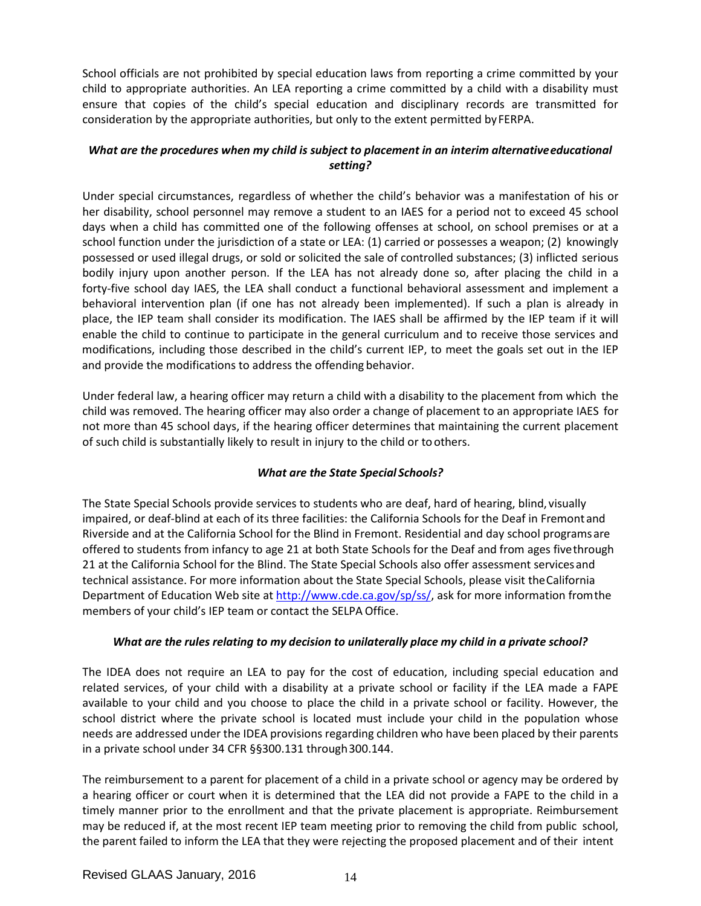School officials are not prohibited by special education laws from reporting a crime committed by your child to appropriate authorities. An LEA reporting a crime committed by a child with a disability must ensure that copies of the child's special education and disciplinary records are transmitted for consideration by the appropriate authorities, but only to the extent permitted by FERPA.

# *What are the procedures when my child is subject to placement in an interim alternativeeducational setting?*

Under special circumstances, regardless of whether the child's behavior was a manifestation of his or her disability, school personnel may remove a student to an IAES for a period not to exceed 45 school days when a child has committed one of the following offenses at school, on school premises or at a school function under the jurisdiction of a state or LEA: (1) carried or possesses a weapon; (2) knowingly possessed or used illegal drugs, or sold or solicited the sale of controlled substances; (3) inflicted serious bodily injury upon another person. If the LEA has not already done so, after placing the child in a forty-five school day IAES, the LEA shall conduct a functional behavioral assessment and implement a behavioral intervention plan (if one has not already been implemented). If such a plan is already in place, the IEP team shall consider its modification. The IAES shall be affirmed by the IEP team if it will enable the child to continue to participate in the general curriculum and to receive those services and modifications, including those described in the child's current IEP, to meet the goals set out in the IEP and provide the modifications to address the offending behavior.

Under federal law, a hearing officer may return a child with a disability to the placement from which the child was removed. The hearing officer may also order a change of placement to an appropriate IAES for not more than 45 school days, if the hearing officer determines that maintaining the current placement of such child is substantially likely to result in injury to the child or toothers.

# *What are the State Special Schools?*

The State Special Schools provide services to students who are deaf, hard of hearing, blind, visually impaired, or deaf-blind at each of its three facilities: the California Schools for the Deaf in Fremontand Riverside and at the California School for the Blind in Fremont. Residential and day school programsare offered to students from infancy to age 21 at both State Schools for the Deaf and from ages fivethrough 21 at the California School for the Blind. The State Special Schools also offer assessment servicesand technical assistance. For more information about the State Special Schools, please visit theCalifornia Department of Education Web site at [http://www.cde.ca.gov/sp/ss/,](http://www.cde.ca.gov/sp/ss/) ask for more information from the members of your child's IEP team or contact the SELPA Office.

### *What are the rules relating to my decision to unilaterally place my child in a private school?*

The IDEA does not require an LEA to pay for the cost of education, including special education and related services, of your child with a disability at a private school or facility if the LEA made a FAPE available to your child and you choose to place the child in a private school or facility. However, the school district where the private school is located must include your child in the population whose needs are addressed under the IDEA provisions regarding children who have been placed by their parents in a private school under 34 CFR §§300.131 through 300.144.

The reimbursement to a parent for placement of a child in a private school or agency may be ordered by a hearing officer or court when it is determined that the LEA did not provide a FAPE to the child in a timely manner prior to the enrollment and that the private placement is appropriate. Reimbursement may be reduced if, at the most recent IEP team meeting prior to removing the child from public school, the parent failed to inform the LEA that they were rejecting the proposed placement and of their intent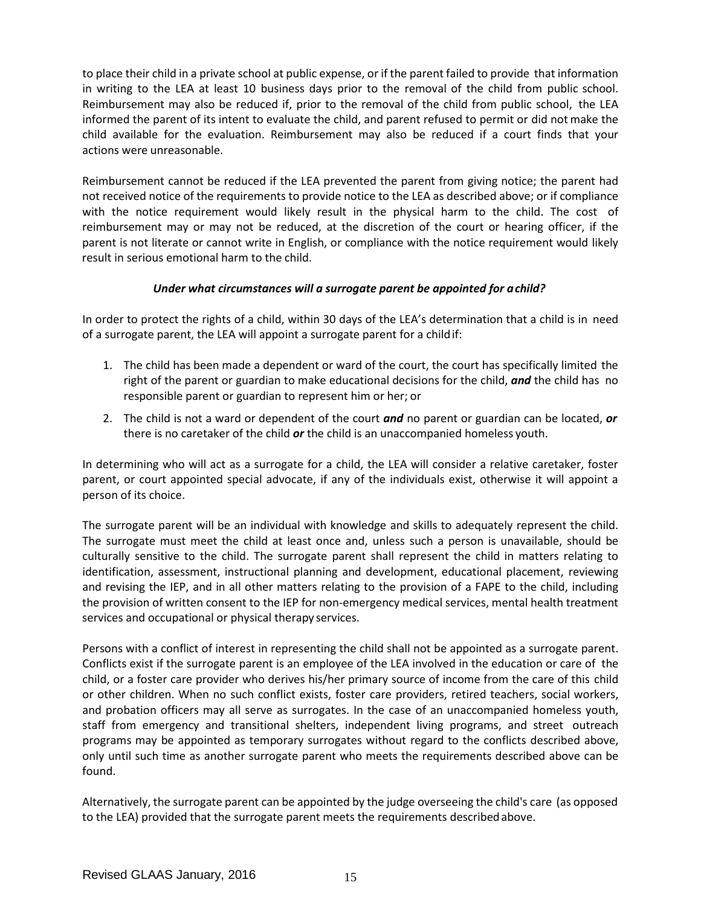to place their child in a private school at public expense, or if the parent failed to provide that information in writing to the LEA at least 10 business days prior to the removal of the child from public school. Reimbursement may also be reduced if, prior to the removal of the child from public school, the LEA informed the parent of its intent to evaluate the child, and parent refused to permit or did not make the child available for the evaluation. Reimbursement may also be reduced if a court finds that your actions were unreasonable.

Reimbursement cannot be reduced if the LEA prevented the parent from giving notice; the parent had not received notice of the requirements to provide notice to the LEA as described above; or if compliance with the notice requirement would likely result in the physical harm to the child. The cost of reimbursement may or may not be reduced, at the discretion of the court or hearing officer, if the parent is not literate or cannot write in English, or compliance with the notice requirement would likely result in serious emotional harm to the child.

# *Under what circumstances will a surrogate parent be appointed for achild?*

In order to protect the rights of a child, within 30 days of the LEA's determination that a child is in need of a surrogate parent, the LEA will appoint a surrogate parent for a childif:

- 1. The child has been made a dependent or ward of the court, the court has specifically limited the right of the parent or guardian to make educational decisions for the child, *and* the child has no responsible parent or guardian to represent him or her; or
- 2. The child is not a ward or dependent of the court *and* no parent or guardian can be located, *or* there is no caretaker of the child *or* the child is an unaccompanied homeless youth.

In determining who will act as a surrogate for a child, the LEA will consider a relative caretaker, foster parent, or court appointed special advocate, if any of the individuals exist, otherwise it will appoint a person of its choice.

The surrogate parent will be an individual with knowledge and skills to adequately represent the child. The surrogate must meet the child at least once and, unless such a person is unavailable, should be culturally sensitive to the child. The surrogate parent shall represent the child in matters relating to identification, assessment, instructional planning and development, educational placement, reviewing and revising the IEP, and in all other matters relating to the provision of a FAPE to the child, including the provision of written consent to the IEP for non-emergency medical services, mental health treatment services and occupational or physical therapy services.

Persons with a conflict of interest in representing the child shall not be appointed as a surrogate parent. Conflicts exist if the surrogate parent is an employee of the LEA involved in the education or care of the child, or a foster care provider who derives his/her primary source of income from the care of this child or other children. When no such conflict exists, foster care providers, retired teachers, social workers, and probation officers may all serve as surrogates. In the case of an unaccompanied homeless youth, staff from emergency and transitional shelters, independent living programs, and street outreach programs may be appointed as temporary surrogates without regard to the conflicts described above, only until such time as another surrogate parent who meets the requirements described above can be found.

Alternatively, the surrogate parent can be appointed by the judge overseeing the child's care (as opposed to the LEA) provided that the surrogate parent meets the requirements describedabove.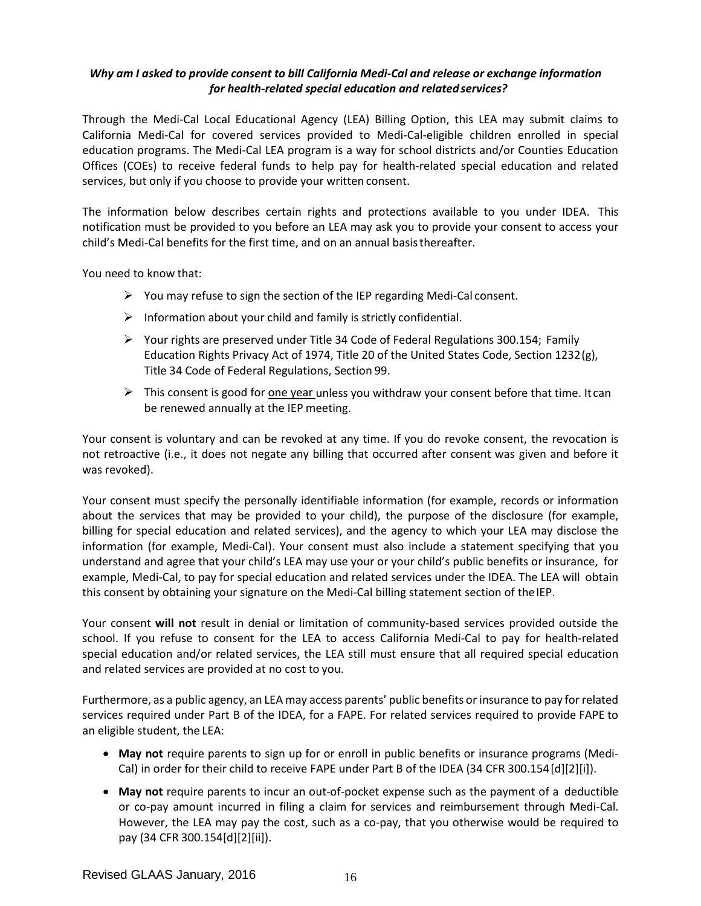# *Why am I asked to provide consent to bill California Medi-Cal and release or exchange information for health-related special education and relatedservices?*

Through the Medi-Cal Local Educational Agency (LEA) Billing Option, this LEA may submit claims to California Medi-Cal for covered services provided to Medi-Cal-eligible children enrolled in special education programs. The Medi-Cal LEA program is a way for school districts and/or Counties Education Offices (COEs) to receive federal funds to help pay for health-related special education and related services, but only if you choose to provide your written consent.

The information below describes certain rights and protections available to you under IDEA. This notification must be provided to you before an LEA may ask you to provide your consent to access your child's Medi-Cal benefits for the first time, and on an annual basisthereafter.

You need to know that:

- $\triangleright$  You may refuse to sign the section of the IEP regarding Medi-Cal consent.
- $\triangleright$  Information about your child and family is strictly confidential.
- $\triangleright$  Your rights are preserved under Title 34 Code of Federal Regulations 300.154; Family Education Rights Privacy Act of 1974, Title 20 of the United States Code, Section 1232(g), Title 34 Code of Federal Regulations, Section 99.
- $\triangleright$  This consent is good for one year unless you withdraw your consent before that time. It can be renewed annually at the IEP meeting.

Your consent is voluntary and can be revoked at any time. If you do revoke consent, the revocation is not retroactive (i.e., it does not negate any billing that occurred after consent was given and before it was revoked).

Your consent must specify the personally identifiable information (for example, records or information about the services that may be provided to your child), the purpose of the disclosure (for example, billing for special education and related services), and the agency to which your LEA may disclose the information (for example, Medi-Cal). Your consent must also include a statement specifying that you understand and agree that your child's LEA may use your or your child's public benefits or insurance, for example, Medi-Cal, to pay for special education and related services under the IDEA. The LEA will obtain this consent by obtaining your signature on the Medi-Cal billing statement section of the IEP.

Your consent **will not** result in denial or limitation of community-based services provided outside the school. If you refuse to consent for the LEA to access California Medi-Cal to pay for health-related special education and/or related services, the LEA still must ensure that all required special education and related services are provided at no cost to you.

Furthermore, as a public agency, an LEA may access parents' public benefits or insurance to pay for related services required under Part B of the IDEA, for a FAPE. For related services required to provide FAPE to an eligible student, the LEA:

- **May not** require parents to sign up for or enroll in public benefits or insurance programs (Medi-Cal) in order for their child to receive FAPE under Part B of the IDEA (34 CFR 300.154[d][2][i]).
- **May not** require parents to incur an out-of-pocket expense such as the payment of a deductible or co-pay amount incurred in filing a claim for services and reimbursement through Medi-Cal. However, the LEA may pay the cost, such as a co-pay, that you otherwise would be required to pay (34 CFR 300.154[d][2][ii]).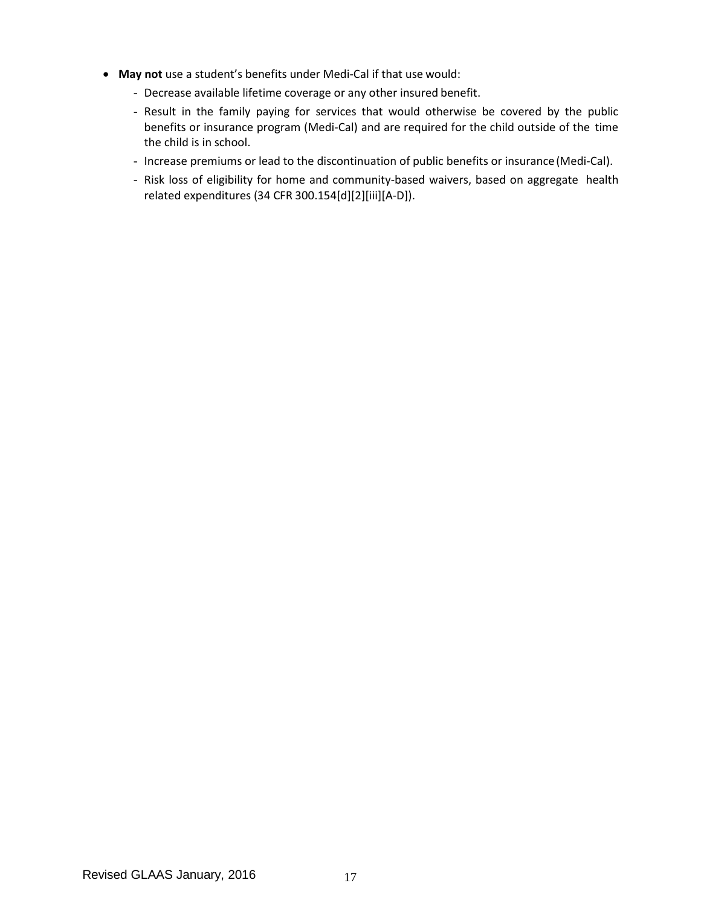- **May not** use a student's benefits under Medi-Cal if that use would:
	- Decrease available lifetime coverage or any other insured benefit.
	- Result in the family paying for services that would otherwise be covered by the public benefits or insurance program (Medi-Cal) and are required for the child outside of the time the child is in school.
	- Increase premiums or lead to the discontinuation of public benefits or insurance(Medi-Cal).
	- Risk loss of eligibility for home and community-based waivers, based on aggregate health related expenditures (34 CFR 300.154[d][2][iii][A-D]).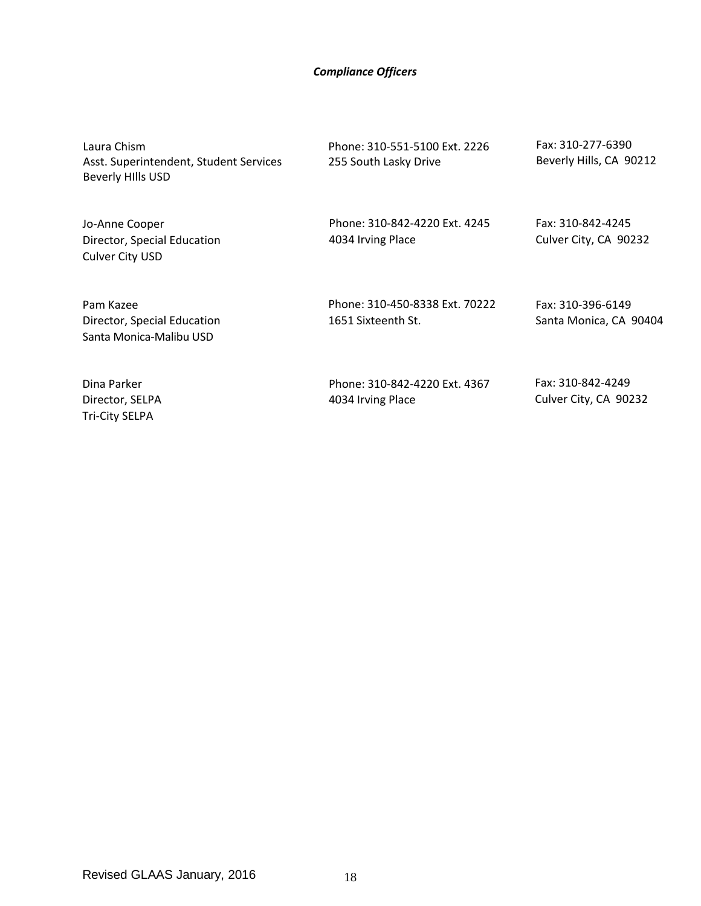### *Compliance Officers*

Laura Chism Asst. Superintendent, Student Services Beverly HIlls USD

Jo-Anne Cooper Director, Special Education Culver City USD

Director, Special Education Santa Monica-Malibu USD

Phone: 310-551-5100 Ext. 2226 255 South Lasky Drive

Fax: 310-277-6390 Beverly Hills, CA 90212

Phone: 310-842-4220 Ext. 4245 4034 Irving Place

Fax: 310-842-4245 Culver City, CA 90232

Phone: 310-450-8338 Ext. 70222 1651 Sixteenth St.

Fax: 310-396-6149 Santa Monica, CA 90404

Dina Parker Director, SELPA Tri-City SELPA

Pam Kazee

Phone: 310-842-4220 Ext. 4367 4034 Irving Place

Fax: 310-842-4249 Culver City, CA 90232